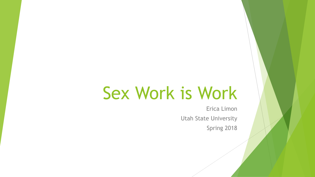# Sex Work is Work

Erica Limon Utah State University Spring 2018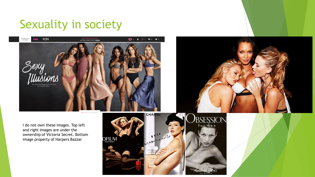## Sexuality in society



I do not own these images. Top left and right images are under the ownership of Victoria Secret. Bottom image property of Harpers Bazzar

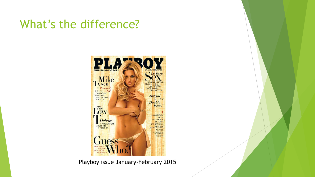## What's the difference?



Playboy issue January-February 2015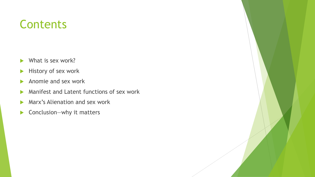#### **Contents**

- ▶ What is sex work?
- $\blacktriangleright$  History of sex work
- Anomie and sex work
- **Manifest and Latent functions of sex work**
- **Marx's Alienation and sex work**
- ▶ Conclusion—why it matters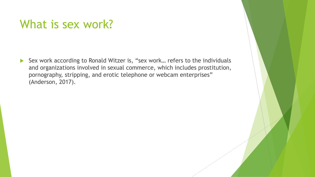#### What is sex work?

▶ Sex work according to Ronald Witzer is, "sex work... refers to the individuals and organizations involved in sexual commerce, which includes prostitution, pornography, stripping, and erotic telephone or webcam enterprises" (Anderson, 2017).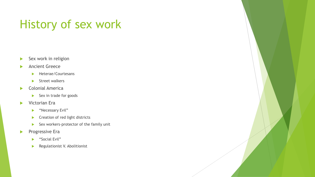# History of sex work

- Sex work in religion
- Ancient Greece
	- Heterae/Courtesans
	- $\blacktriangleright$  Street walkers
- Colonial America
	- $\blacktriangleright$  Sex in trade for goods
- **Victorian Era** 
	- **Necessary Evil"**
	- **Creation of red light districts**
	- Sex workers-protector of the family unit
- **Progressive Era** 
	- "Social Evil"
	- **Regulationist V. Abolitionist**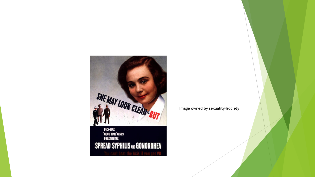

Image owned by sexuality4society

PICK-UPS<br>"Good Time"girls **PROSTITUTES SPREAD SYPHILIS AND GONORRHEA**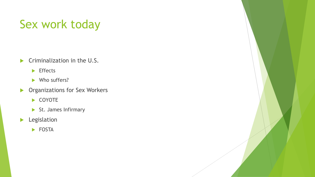# Sex work today

- $\blacktriangleright$  Criminalization in the U.S.
	- $\blacktriangleright$  Effects
	- Who suffers?
- **Dividends Organizations for Sex Workers** 
	- ▶ COYOTE
	- St. James Infirmary
- **Legislation** 
	- FOSTA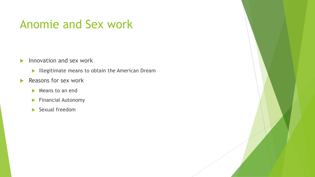#### Anomie and Sex work

- $\blacktriangleright$  Innovation and sex work
	- Illegitimate means to obtain the American Dream
- $\blacktriangleright$  Reasons for sex work
	- Means to an end
	- **Financial Autonomy**
	- Sexual freedom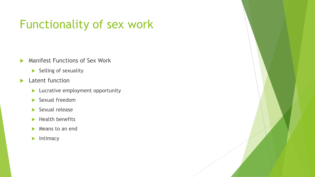# Functionality of sex work

- **Manifest Functions of Sex Work** 
	- $\blacktriangleright$  Selling of sexuality
- **Latent function** 
	- **Lucrative employment opportunity**
	- Sexual freedom
	- $\blacktriangleright$  Sexual release
	- $\blacktriangleright$  Health benefits
	- Means to an end
	- $\blacktriangleright$  Intimacy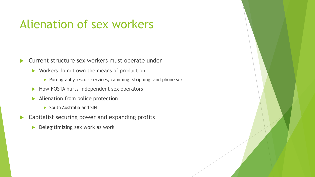## Alienation of sex workers

**Current structure sex workers must operate under** 

- ▶ Workers do not own the means of production
	- $\triangleright$  Pornography, escort services, camming, stripping, and phone sex
- $\blacktriangleright$  How FOSTA hurts independent sex operators
- Alienation from police protection
	- South Australia and SIN
- **EX Capitalist securing power and expanding profits** 
	- Delegitimizing sex work as work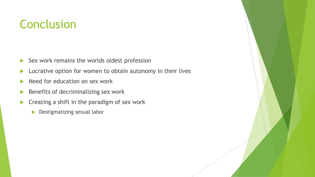## Conclusion

- $\blacktriangleright$  Sex work remains the worlds oldest profession
- **Lucrative option for women to obtain autonomy in their lives**
- Need for education on sex work
- $\blacktriangleright$  Benefits of decriminalizing sex work
- $\blacktriangleright$  Creating a shift in the paradigm of sex work
	- **Destigmatizing sexual labor**